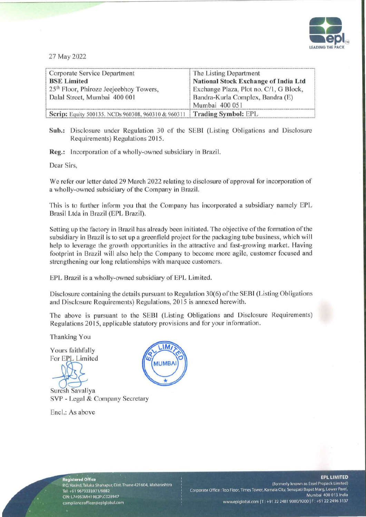

27 May 2022

| Corporate Service Department                                             | The Listing Department                      |
|--------------------------------------------------------------------------|---------------------------------------------|
| <b>BSE Limited</b>                                                       | <b>National Stock Exchange of India Ltd</b> |
| 25 <sup>th</sup> Floor, Phiroze Jeejeebhoy Towers,                       | Exchange Plaza, Plot no. C/1, G Block,      |
| Dalal Street, Mumbai 400 001                                             | Bandra-Kurla Complex, Bandra (E)            |
|                                                                          | Mumbai 400 051                              |
| Scrip: Equity 500135. NCDs 960308, 960310 & 960311   Trading Symbol: EPL |                                             |

Sub.: Disclosure under Regulation 30 of the SEBI (Listing Obligations and Disclosure Requirements) Regulations 2015.

Reg.: Incorporation of a wholly-owned subsidiary in Brazil.

Dear Sirs.

We refer our letter dated 29 March 2022 relating to disclosure of approval for incorporation of a wholly-owned subsidiary of the Company in Brazil.

This is to further inform you that the Company has incorporated a subsidiary namely EPL Brasil Ltda in Brazil (EPL Brazil).

Setting up the factory in Brazil has already been initiated. The objective of the formation of the subsidiary in Brazil is to set up a greenfield project for the packaging tube business, which will help to leverage the growth opportunities in the attractive and fast-growing market. Having footprint in Brazil will also help the Company to become more agile, customer focused and strengthening our long relationships with marquee customers.

EPL Brazil is a wholly-owned subsidiary of EPL Limited.

Disclosure containing the details pursuant to Regulation 30(6) of the SEBI (Listing Obligations and Disclosure Requirements) Regulations, 2015 is annexed herewith.

The above is pursuant to the SEBI (Listing Obligations and Disclosure Requirements) Regulations 2015, applicable statutory provisions and for your information.

Thanking You

Yours faithfully For EPL Limited

Suresh Savaliya SVP - Legal & Company Secretary

Encl.: As above



egistered Office P.O. Vasind, Taluka Shahapur, Dist. Thane 421604, Maharashtra Tel: +91 9673333971/9882 CIN: L74950MH1982PLC028947 complianceofficer@eplglobal.com

(Formerly known as Essel Propack Limited) Corporate Office : Top Floor, Times Tower, Kamala City, Senapati Bapat Marg, Lower Parel, Mumbai 400 013. India www.eplglobal.com | T: +91 22 2481 9000/9200 | F: +91 22 2496 3137

## **EPL LIMITED**